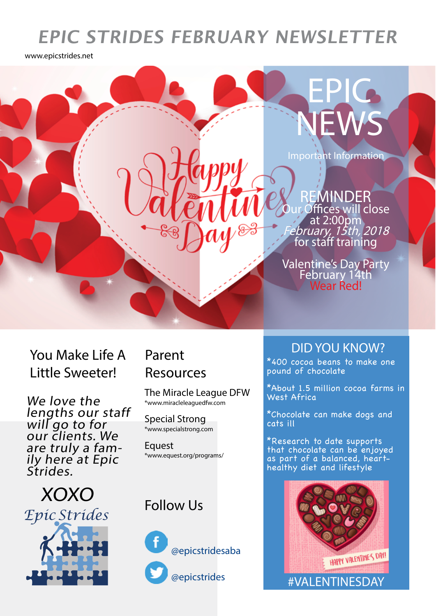## **EPIC STRIDES FEBRUARY NEWSLETTER**

www.epicstrides.net



You Make Life A Little Sweeter!

We love the lengths our staff will go to for our clients. We<br>are truly a famare truly a fam-<br>ily here at Epic Strides.

 XOXO *Epic Strides*

# Resources

The Miracle League DFW \*www.miracleleaguedfw.com

Special Strong \*www.specialstrong.com

**Equest** \*www.equest.org/programs/

#### Follow Us



@epicstridesaba

@epicstrides

#### DID YOU KNOW? Parent

\*400 cocoa beans to make one pound of chocolate

\*About 1.5 million cocoa farms in West Africa

\*Chocolate can make dogs and cats ill

\*Research to date supports that chocolate can be enjoyed as part of a balanced, hearthealthy diet and lifestyle